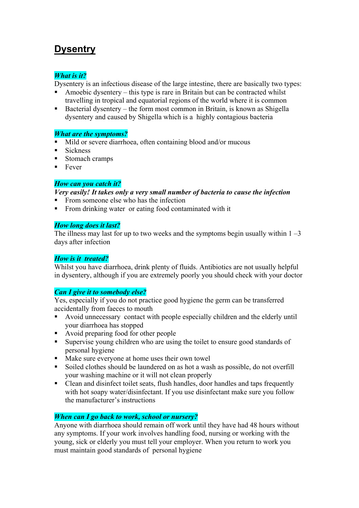# **Dysentry**

#### *What is it?*

Dysentery is an infectious disease of the large intestine, there are basically two types:

- Amoebic dysentery this type is rare in Britain but can be contracted whilst travelling in tropical and equatorial regions of the world where it is common
- Bacterial dysentery the form most common in Britain, is known as Shigella dysentery and caused by Shigella which is a highly contagious bacteria

### *What are the symptoms?*

- Mild or severe diarrhoea, often containing blood and/or mucous
- $\blacksquare$  Sickness
- Stomach cramps
- $\blacksquare$  Fever

### *How can you catch it?*

#### *Very easily! It takes only a very small number of bacteria to cause the infection*

- From someone else who has the infection
- From drinking water or eating food contaminated with it

### *How long does it last?*

The illness may last for up to two weeks and the symptoms begin usually within  $1 - 3$ days after infection

## *How is it treated?*

Whilst you have diarrhoea, drink plenty of fluids. Antibiotics are not usually helpful in dysentery, although if you are extremely poorly you should check with your doctor

## *Can I give it to somebody else?*

Yes, especially if you do not practice good hygiene the germ can be transferred accidentally from faeces to mouth

- Avoid unnecessary contact with people especially children and the elderly until your diarrhoea has stopped
- Avoid preparing food for other people
- Supervise young children who are using the toilet to ensure good standards of personal hygiene
- Make sure everyone at home uses their own towel
- Soiled clothes should be laundered on as hot a wash as possible, do not overfill your washing machine or it will not clean properly
- Clean and disinfect toilet seats, flush handles, door handles and taps frequently with hot soapy water/disinfectant. If you use disinfectant make sure you follow the manufacturer's instructions

## *When can I go back to work, school or nursery?*

Anyone with diarrhoea should remain off work until they have had 48 hours without any symptoms. If your work involves handling food, nursing or working with the young, sick or elderly you must tell your employer. When you return to work you must maintain good standards of personal hygiene